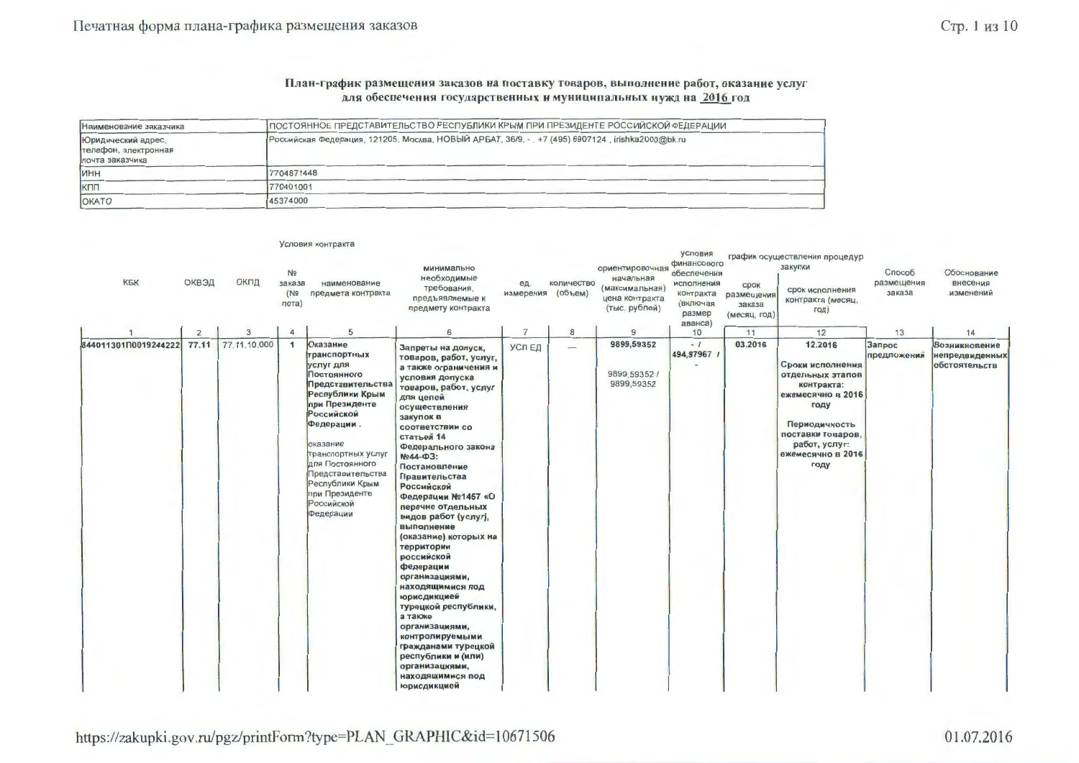#### План-график размещения заказов на поставку товаров, выполнение работ, оказание услуг для обеспечения государственных и муниципальных нужд на 2016 год

| Наименование заказчика                                        | ПОСТОЯННОЕ ПРЕДСТАВИТЕЛЬСТВО РЕСПУБЛИКИ КРЫМ ПРИ ПРЕЗИДЕНТЕ РОССИЙСКОЙ ФЕДЕРАЦИИ                |  |
|---------------------------------------------------------------|-------------------------------------------------------------------------------------------------|--|
| Юридический адрес,<br>телефон, электронная<br>почта заказчика | Российская Федерация, 121205, Москва, НОВЫЙ АРБАТ, 36/9, -, +7 (495) 6907124, irishka2000@bk.ru |  |
| <b>MHH</b>                                                    | 7704871448                                                                                      |  |
| КПП                                                           | 770401001                                                                                       |  |
| <b>OKATO</b>                                                  | 45374000                                                                                        |  |

|                      |       |              |                                                        | условия контракта                                                                                                                                                                                                                                                                           |                                                                                                                                                                                                                                                                                                                                                                                                                                                                                                                                                                                                                                                                           |                  |                          |                                                                                   |                                                                                                   |                                              |                                                                                                                                                                                |                                |                                                         |
|----------------------|-------|--------------|--------------------------------------------------------|---------------------------------------------------------------------------------------------------------------------------------------------------------------------------------------------------------------------------------------------------------------------------------------------|---------------------------------------------------------------------------------------------------------------------------------------------------------------------------------------------------------------------------------------------------------------------------------------------------------------------------------------------------------------------------------------------------------------------------------------------------------------------------------------------------------------------------------------------------------------------------------------------------------------------------------------------------------------------------|------------------|--------------------------|-----------------------------------------------------------------------------------|---------------------------------------------------------------------------------------------------|----------------------------------------------|--------------------------------------------------------------------------------------------------------------------------------------------------------------------------------|--------------------------------|---------------------------------------------------------|
| КБК                  | ОКВЭД | ОКПД         | N <sub>2</sub><br>заказа<br>(N <sub>2</sub> )<br>лота) | наименование<br>предмета контракта                                                                                                                                                                                                                                                          | минимально<br>необходимые<br>требования,<br>предъявляемые к<br>предмету контракта                                                                                                                                                                                                                                                                                                                                                                                                                                                                                                                                                                                         | ед.<br>измерения | количество<br>(объем)    | ориентировочная<br>начальная<br>(максимальная)<br>цена контракта<br>(тыс. рублей) | условия<br>финансового<br>обеспечения<br>исполнения<br>контракта<br>(включая<br>размер<br>аванса) | срок<br>размещения<br>заказа<br>(месяц, год) | график осуществления процедур<br>закупки<br>срок исполнения<br>контракта (месяц,<br>год)                                                                                       | Способ<br>размещения<br>заказа | Обоснование<br>внесения<br>изменений                    |
|                      | 2     | 3            | $\overline{4}$                                         | 5                                                                                                                                                                                                                                                                                           | 6                                                                                                                                                                                                                                                                                                                                                                                                                                                                                                                                                                                                                                                                         | $\overline{7}$   | 8                        | $\overline{9}$                                                                    | 10                                                                                                | 11                                           | 12                                                                                                                                                                             | 13                             | 14                                                      |
| 844011301П0019244222 | 77.11 | 77.11.10.000 | $\mathbf{1}$                                           | Оказание<br>транспортных<br>услуг для<br>Постоянного<br>Представительства<br>Республики Крым<br>при Президенте<br><b>Российской</b><br>Федерации.<br>оказание<br>транспортных услуг<br>для Постоянного<br>Представительства<br>Республики Крым<br>при Президенте<br>Российской<br>Федерации | Запреты на допуск,<br>товаров, работ, услуг,<br>а также ограничения и<br>условия допуска<br>товаров, работ, услуг<br>для целей<br>осуществления<br>закупок в<br>соответствии со<br>статьей 14<br>Федерального закона<br>Nº44-03:<br>Постановление<br>Правительства<br><b>Российской</b><br>Федерации №1457 «О<br>перечне отдельных<br>видов работ (услуг),<br>выполнение<br>(оказание) которых на<br>территории<br>российской<br>федерации<br>организациями,<br>находящимися под<br>юрисдикцией<br>турецкой республики,<br>а также<br>организациями,<br>контролируемыми<br>гражданами турецкой<br>республики и (или)<br>организациями,<br>находящимися под<br>юрисдикцией | УСЛ ЕД           | $\overline{\phantom{m}}$ | 9899,59352<br>9899,59352/<br>9899,59352                                           | $-1$<br>494,97967 /                                                                               | 03.2016                                      | 12.2016<br>Сроки исполнения<br>отдельных этапов<br>контракта:<br>ежемесячно в 2016<br>году<br>Периодичность<br>поставки товаров,<br>работ, услуг:<br>ежемесячно в 2016<br>году | Запрос<br>предложений          | <b>Возникновение</b><br>непредвиденных<br>обстоятельств |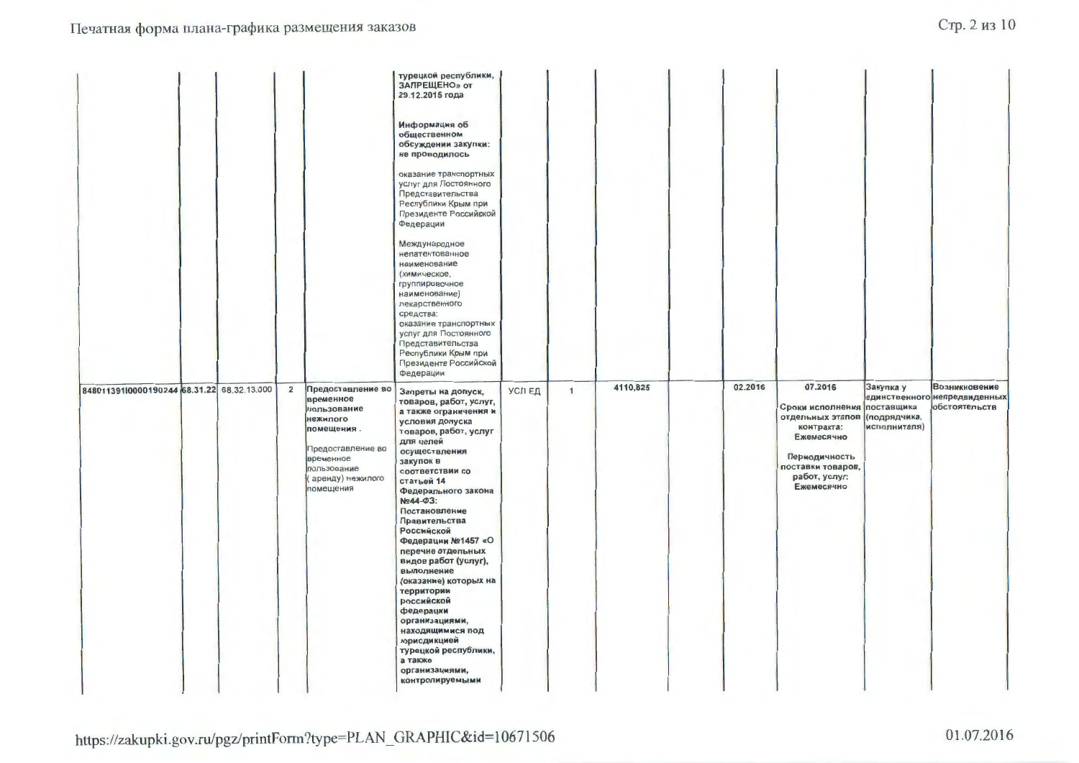|                                                              |                                                                                                                                                           | турецкой республики,<br>ЗАПРЕЩЕНО» от<br>29.12.2015 года<br>Информация об<br>общественном<br>обсуждении закупки:<br>не проводилось<br>оказание транспортных<br>услуг для Постоянного<br>Представительства<br>Республики Крым при<br>Президенте Российской<br>Федерации<br>Международное<br>непатентованное<br>наименование<br>(химическое,<br>группировочное<br>наименование)<br>лекарственного<br>средства:<br>оказание транспортных<br>услуг для Постоянного<br>Представительства<br>Республики Крым при<br>Президенте Российской<br>Федерации                 |        |              |          |         |                                                                                                                                                                          |                           |                                                                |
|--------------------------------------------------------------|-----------------------------------------------------------------------------------------------------------------------------------------------------------|------------------------------------------------------------------------------------------------------------------------------------------------------------------------------------------------------------------------------------------------------------------------------------------------------------------------------------------------------------------------------------------------------------------------------------------------------------------------------------------------------------------------------------------------------------------|--------|--------------|----------|---------|--------------------------------------------------------------------------------------------------------------------------------------------------------------------------|---------------------------|----------------------------------------------------------------|
| 348011391l0000190244 68.31.22 68.32.13.000<br>$\overline{2}$ | Предоставление во<br>временное<br>пользование<br>нежилого<br>помещения.<br>Предоставление во<br>временное<br>пользование<br>аренду) нежилого<br>помещения | Запреты на допуск,<br>товаров, работ, услуг,<br>а также ограничения и<br>условия допуска<br>товаров, работ, услуг<br>для целей<br>осуществления<br>закупок в<br>соответствии со<br>статьей 14<br>Федерального закона<br>Nº44-03:<br>Постановление<br>Правительства<br>Российской<br>Федерации №1457 «О<br>перечне отдельных<br>видов работ (услуг),<br>выполнение<br>(оказание) которых на<br>территории<br>российской<br>федерации<br>организациями,<br>находящимися под<br>юрисдикцией<br>турецкой республики,<br>а также<br>организациями,<br>контролируемыми | УСЛ ЕД | $\mathbf{1}$ | 4110,825 | 02.2016 | 07.2016<br>Сроки исполнения поставщика<br>отдельных этапов (подрядчика,<br>контракта:<br>Ежемесячно<br>Периодичность<br>поставки товаров,<br>работ, услуг:<br>Ежемесячно | Закупка у<br>исполнителя) | Возникновение<br>единственного непредвиденных<br>обстоятельств |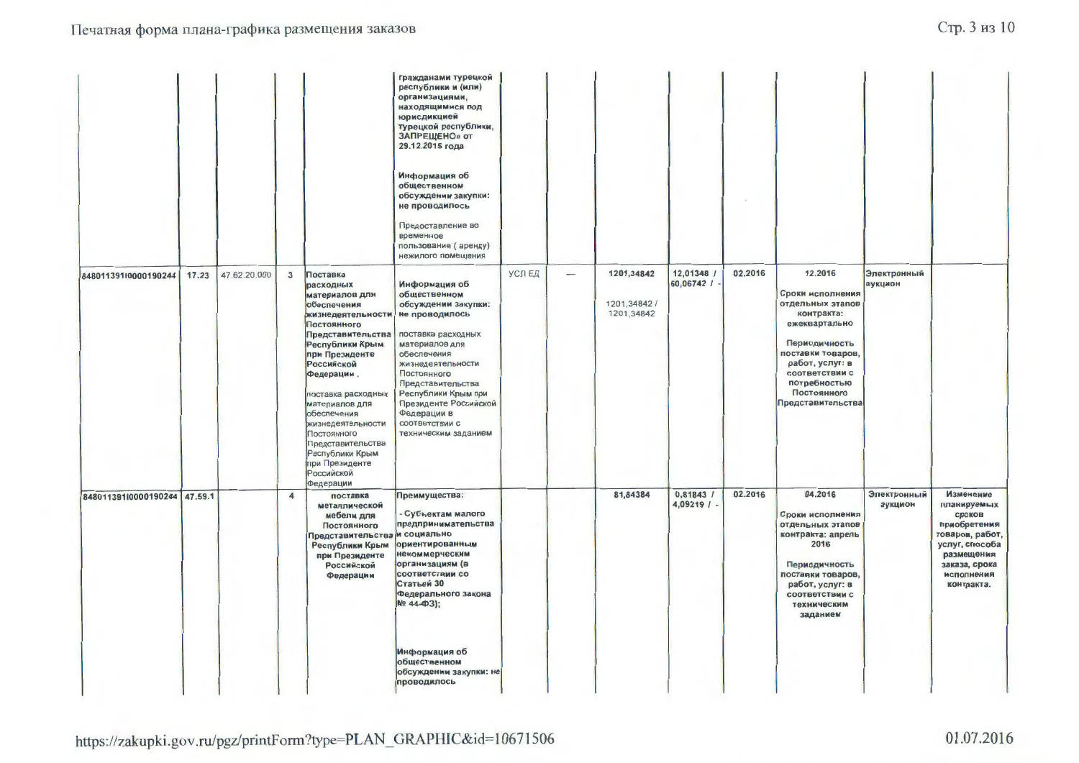|                              |       |              |                         |                                                                                                                                                                                                                                                                                                                                                                         | гражданами турецкой<br>республики и (или)<br>организациями,<br>находящимися под<br>юрисдикцией<br>турецкой республики,<br>ЗАПРЕЩЕНО» от<br>29.12.2015 года<br>Информация об<br>общественном<br>обсуждении закупки:<br>не проводилось<br>Предоставление во<br>временное<br>пользование (аренду)<br>нежилого помещения |        |                          |                                          |                                    |         |                                                                                                                                                                                                               |                        |                                                                                                                                                    |
|------------------------------|-------|--------------|-------------------------|-------------------------------------------------------------------------------------------------------------------------------------------------------------------------------------------------------------------------------------------------------------------------------------------------------------------------------------------------------------------------|----------------------------------------------------------------------------------------------------------------------------------------------------------------------------------------------------------------------------------------------------------------------------------------------------------------------|--------|--------------------------|------------------------------------------|------------------------------------|---------|---------------------------------------------------------------------------------------------------------------------------------------------------------------------------------------------------------------|------------------------|----------------------------------------------------------------------------------------------------------------------------------------------------|
| 848011391l0000190244         | 17.23 | 47.62.20.000 | $\mathbf{3}$            | Поставка<br>расходных<br>материалов для<br>обеспечения<br>жизнедеятельности<br>Постоянного<br>Представительства<br>Республики Крым<br>при Президенте<br><b>Российской</b><br>Федерации.<br>поставка расходных<br>материалов для<br>обеспечения<br>жизнедеятельности<br>Постоянного<br>Представительства<br>Республики Крым<br>при Президенте<br>Российской<br>Федерации | Информация об<br>общественном<br>обсуждении закупки:<br>не проводилось<br>поставка расходных<br>материалов для<br>обеспечения<br>жизнедеятельности<br>Постоянного<br>Представительства<br>Республики Крым при<br>Президенте Российской<br>Федерации в<br>соответствии с<br>техническим заданием                      | УСЛ ЕД | $\qquad \qquad - \qquad$ | 1201,34842<br>1201,34842 /<br>1201,34842 | 12,01348 /<br>$60,06742$ / $\cdot$ | 02.2016 | 12.2016<br>Сроки исполнения<br>отдельных этапов<br>контракта:<br>ежеквартально<br>Периодичность<br>поставки товаров,<br>работ, услуг: в<br>соответствии с<br>потребностью<br>Постоянного<br>Представительства | Электронный<br>аукцион |                                                                                                                                                    |
| 848011391l0000190244 47.59.1 |       |              | $\overline{\mathbf{4}}$ | поставка<br>металлической<br>мебели для<br>Постоянного<br>Представительства<br>Республики Крым<br>при Президенте<br>Российской<br>Федерации                                                                                                                                                                                                                             | Преимущества:<br>Субъектам малого<br>предпринимательства<br>и социально<br>ориентированным<br>некоммерческим<br>организациям (в<br>соответствии со<br>Статьей 30<br>Федерального закона<br>Nº 44-Φ3);<br>Информация об<br>общественном<br>обсуждении закупки: не<br>проводилось                                      |        |                          | 81,84384                                 | 0,81843 /<br>4,09219 / -           | 02.2016 | 04.2016<br>Сроки исполнения<br>отдельных этапов<br>контракта: апрель<br>2016<br>Периодичность<br>поставки товаров,<br>работ, услуг: в<br>соответствии с<br>техническим<br>заданием                            | Электронный<br>аукцион | Изменение<br>планируемых<br>сроков<br>приобретения<br>товаров, работ,<br>услуг, способа<br>размещения<br>заказа, срока<br>исполнения<br>контракта. |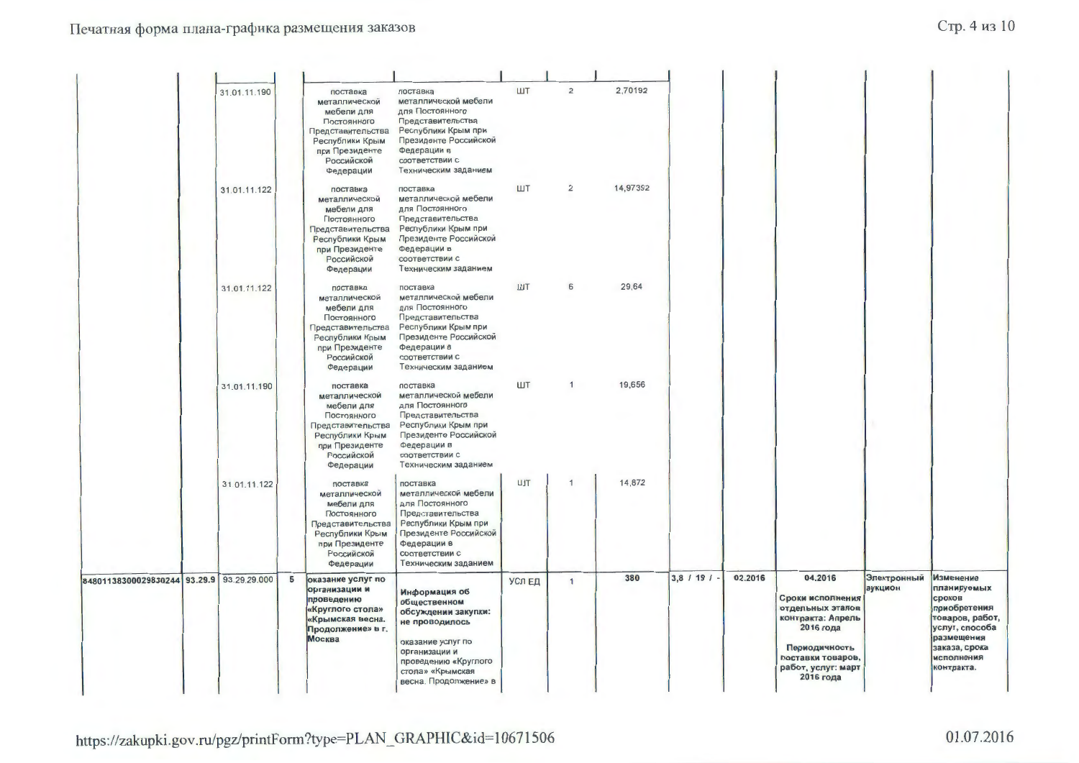|                                           | 31.01.11.190<br>31.01.11.122 |   | поставка<br>металлической<br>мебели для<br>Постоянного<br>Представительства<br>Республики Крым<br>при Президенте<br>Российской<br>Федерации<br>поставка | поставка<br>металлической мебели<br>для Постоянного<br>Представительства<br>Республики Крым при<br>Президенте Российской<br>Федерации в<br>соответствии с<br>Техническим заданием<br>поставка | ШT<br>ШT | $\overline{2}$<br>$\overline{2}$ | 2,70192<br>14,97392 |                      |         |                                                                                                                                                            |                        |                                                                                                                                                           |
|-------------------------------------------|------------------------------|---|---------------------------------------------------------------------------------------------------------------------------------------------------------|-----------------------------------------------------------------------------------------------------------------------------------------------------------------------------------------------|----------|----------------------------------|---------------------|----------------------|---------|------------------------------------------------------------------------------------------------------------------------------------------------------------|------------------------|-----------------------------------------------------------------------------------------------------------------------------------------------------------|
|                                           |                              |   | металлической<br>мебели для<br>Постоянного<br>Представительства<br>Республики Крым<br>при Президенте<br>Российской<br>Федерации                         | металлической мебели<br>для Постоянного<br>Представительства<br>Республики Крым при<br>Президенте Российской<br>Федерации в<br>соответствии с<br>Техническим заданием                         |          |                                  |                     |                      |         |                                                                                                                                                            |                        |                                                                                                                                                           |
|                                           | 31.01.11.122                 |   | поставка<br>металлической<br>мебели для<br>Постоянного<br>Представительства<br>Республики Крым<br>при Президенте<br>Российской<br>Федерации             | поставка<br>металлической мебели<br>для Постоянного<br>Представительства<br>Республики Крым при<br>Президенте Российской<br>Федерации в<br>соответствии с<br>Техническим заданием             | ШT       | 6                                | 29,64               |                      |         |                                                                                                                                                            |                        |                                                                                                                                                           |
|                                           | 31.01.11.190                 |   | поставка<br>металлической<br>мебели для<br>Постоянного<br>Представительства<br>Республики Крым<br>при Президенте<br>Российской<br>Федерации             | поставка<br>металлической мебели<br>для Постоянного<br>Представительства<br>Республики Крым при<br>Президенте Российской<br>Федерации в<br>соответствии с<br>Техническим заданием             | ШТ       | $\mathbf{1}$                     | 19,656              |                      |         |                                                                                                                                                            |                        |                                                                                                                                                           |
|                                           | 31.01.11.122                 |   | поставка<br>металлической<br>мебели для<br>Постоянного<br>Представительства<br>Республики Крым<br>при Президенте<br>Российской<br>Федерации             | поставка<br>металлической мебели<br>для Постоянного<br>Представительства<br>Республики Крым при<br>Президенте Российской<br>Федерации в<br>соответствии с<br>Техническим заданием             | ШT       | $\mathbf{1}$                     | 14,872              |                      |         |                                                                                                                                                            |                        |                                                                                                                                                           |
| 84801138300029830244 93.29.9 93.29.29.000 |                              | 5 | оказание услуг по<br>организации и<br>проведению<br>«Круглого стола»<br>«Крымская весна.<br>Продолжение» в г.<br>Москва                                 | Информация об<br>общественном<br>обсуждении закупки:<br>не проводилось<br>оказание услуг по<br>организации и<br>проведению «Круглого<br>стола» «Крымская<br>весна. Продолжение» в             | УСЛ ЕД   | $\mathbf{1}$                     | 380                 | $3,8$ / 19 / $\cdot$ | 02.2016 | 04.2016<br>Сроки исполнения<br>отдельных этапов<br>контракта: Апрель<br>2016 года<br>Периодичность<br>поставки товаров,<br>работ, услуг: март<br>2016 года | Электронный<br>аукцион | <b>Изменение</b><br>планируемых<br>сроков<br>приобретения<br>товаров, работ,<br>услуг, способа<br>размещения<br>заказа, срока<br>исполнения<br>контракта. |

https://zakupki.gov.ru/pgz/printForm?type=PLAN\_GRAPHIC&id=10671506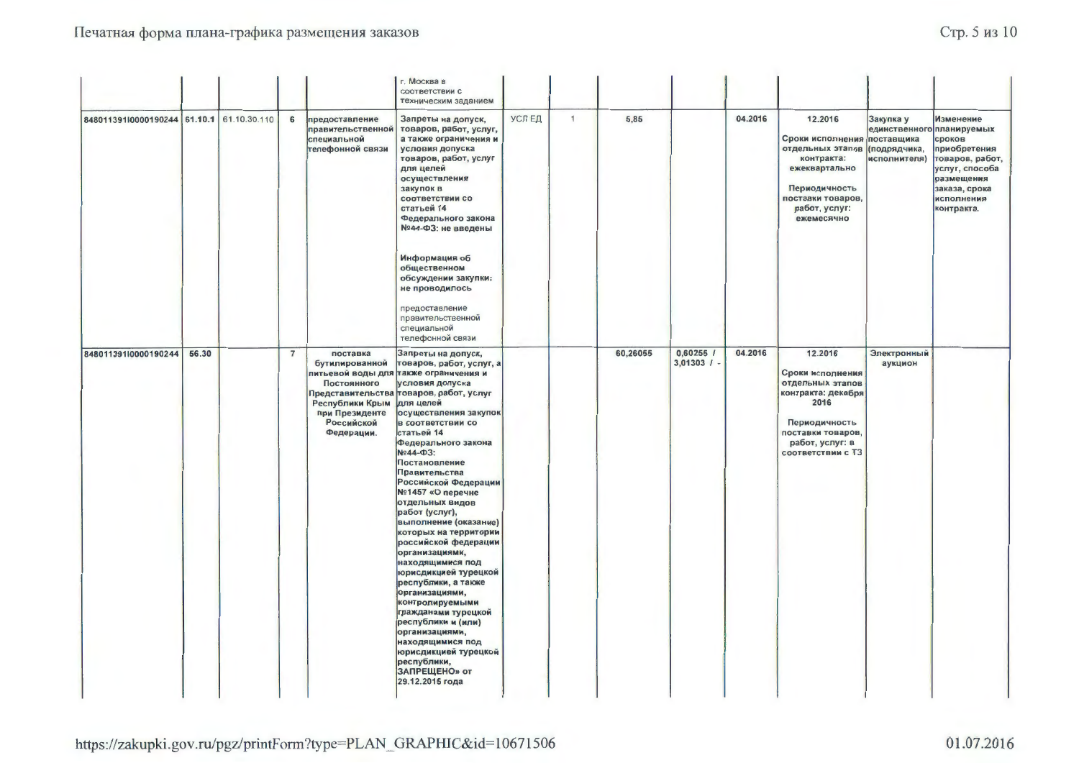|                                           |       |                |                                                                                                                                 | г. Москва в<br>соответствии с<br>техническим заданием                                                                                                                                                                                                                                                                                                                                                                                                                                                                                                                                                                                                                                                                                |        |              |          |                              |         |                                                                                                                                                                |                                                            |                                                                                                                                                    |
|-------------------------------------------|-------|----------------|---------------------------------------------------------------------------------------------------------------------------------|--------------------------------------------------------------------------------------------------------------------------------------------------------------------------------------------------------------------------------------------------------------------------------------------------------------------------------------------------------------------------------------------------------------------------------------------------------------------------------------------------------------------------------------------------------------------------------------------------------------------------------------------------------------------------------------------------------------------------------------|--------|--------------|----------|------------------------------|---------|----------------------------------------------------------------------------------------------------------------------------------------------------------------|------------------------------------------------------------|----------------------------------------------------------------------------------------------------------------------------------------------------|
| 848011391l0000190244 61.10.1 61.10.30.110 |       | 6              | предоставление<br>правительственной<br>специальной<br>телефонной связи                                                          | Запреты на допуск,<br>товаров, работ, услуг,<br>а также ограничения и<br>условия допуска<br>товаров, работ, услуг<br>для целей<br>осуществления<br>закупок в<br>соответствии со<br>статьей 14<br>Федерального закона<br>№44-ФЗ: не введены<br>Информация об<br>общественном<br>обсуждении закупки:<br>не проводилось<br>предоставление<br>правительственной<br>специальной<br>телефонной связи                                                                                                                                                                                                                                                                                                                                       | УСЛ ЕД | $\mathbf{1}$ | 5,85     |                              | 04.2016 | 12.2016<br>Сроки исполнения поставщика<br>отдельных этапов<br>контракта:<br>ежеквартально<br>Периодичность<br>поставки товаров,<br>работ, услуг:<br>ежемесячно | Закупка у<br>единственного<br>(подрядчика,<br>исполнителя) | Изменение<br>планируемых<br>сроков<br>приобретения<br>товаров, работ,<br>услуг, способа<br>размещения<br>заказа, срока<br>исполнения<br>контракта. |
| 848011391l0000190244                      | 56.30 | $\overline{7}$ | поставка<br>бутилированной<br>Постоянного<br>Представительства<br>Республики Крым<br>при Президенте<br>Российской<br>Федерации. | Запреты на допуск,<br>товаров, работ, услуг, а<br>питьевой воды для также ограничения и<br>условия допуска<br>товаров, работ, услуг<br>для целей<br>осуществления закупок<br>в соответствии со<br>статьей 14<br>Федерального закона<br>Nº44-03:<br>Постановление<br>Правительства<br>Российской Федерации<br>№1457 «О перечне<br>отдельных видов<br>работ (услуг),<br>выполнение (оказание)<br>которых на территории<br>российской федерации<br>организациями,<br>находящимися под<br>юрисдикцией турецкой<br>республики, а также<br>организациями,<br>контролируемыми<br>гражданами турецкой<br>республики и (или)<br>организациями,<br>находящимися под<br>юрисдикцией турецкой<br>республики,<br>ЗАПРЕЩЕНО» от<br>29.12.2015 года |        |              | 60,26055 | $0,60255$ /<br>$3,01303$ / - | 04.2016 | 12.2016<br>Сроки исполнения<br>отдельных этапов<br>контракта: декабря<br>2016<br>Периодичность<br>поставки товаров,<br>работ, услуг: в<br>соответствии с ТЗ    | Электронный<br>аукцион                                     |                                                                                                                                                    |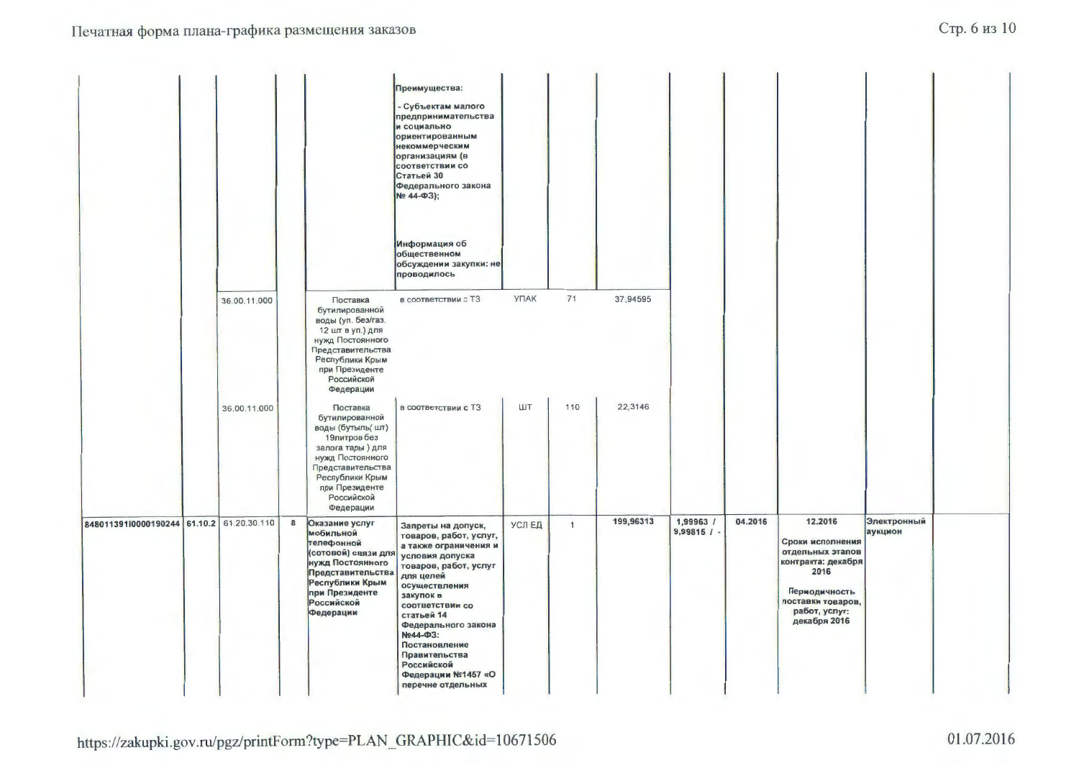|                                           |              |   |                                                                                                                                                                                              | Преимущества:<br>- Субъектам малого<br>предпринимательства<br>и социально<br>ориентированным<br>некоммерческим<br>организациям (в<br>соответствии со<br>Статьей 30<br>Федерального закона<br>Nº 44-03);                                                                                                                            |             |              |           |                            |         |                                                                                                                                                      |                        |  |
|-------------------------------------------|--------------|---|----------------------------------------------------------------------------------------------------------------------------------------------------------------------------------------------|------------------------------------------------------------------------------------------------------------------------------------------------------------------------------------------------------------------------------------------------------------------------------------------------------------------------------------|-------------|--------------|-----------|----------------------------|---------|------------------------------------------------------------------------------------------------------------------------------------------------------|------------------------|--|
|                                           |              |   |                                                                                                                                                                                              | Информация об<br>общественном<br>обсуждении закупки: не<br>проводилось                                                                                                                                                                                                                                                             |             |              |           |                            |         |                                                                                                                                                      |                        |  |
|                                           | 36.00.11.000 |   | Поставка<br>бутилированной<br>воды (уп. без/газ.<br>12 шт в уп.) для<br>нужд Постоянного<br>Представительства<br>Республики Крым<br>при Президенте<br>Российской<br>Федерации                | в соответствии с ТЗ                                                                                                                                                                                                                                                                                                                | <b>УПАК</b> | 71           | 37,94595  |                            |         |                                                                                                                                                      |                        |  |
|                                           | 36.00.11.000 |   | Поставка<br>бутилированной<br>воды (бутыль( шт)<br>19литров без<br>залога тары) для<br>нужд Постоянного<br>Представительства<br>Республики Крым<br>при Президенте<br>Российской<br>Федерации | в соответствии с ТЗ                                                                                                                                                                                                                                                                                                                | ШT          | 110          | 22,3146   |                            |         |                                                                                                                                                      |                        |  |
| 848011391l0000190244 61.10.2 61.20.30.110 |              | 8 | Оказание услуг<br>мобильной<br>телефонной<br>(сотовой) связи для<br>нужд Постоянного<br>Представительства<br>Республики Крым<br>при Президенте<br>Российской<br>Федерации                    | Запреты на допуск,<br>товаров, работ, услуг,<br>а также ограничения и<br>условия допуска<br>товаров, работ, услуг<br>для целей<br>осуществления<br>закупок в<br>соответствии со<br>статьей 14<br>Федерального закона<br>Nº44-ФЗ:<br>Постановление<br>Правительства<br><b>Российской</b><br>Федерации №1457 «О<br>перечне отдельных | УСЛ ЕД      | $\mathbf{1}$ | 199,96313 | 1,99963 /<br>$9,99815$ / - | 04.2016 | 12.2016<br>Сроки исполнения<br>отдельных этапов<br>контракта: декабря<br>2016<br>Периодичность<br>поставки товаров,<br>работ, услуг:<br>декабря 2016 | Электронный<br>аукцион |  |

https://zakupki.gov.ru/pgz/printForm?type=PLAN\_GRAPHIC&id=10671506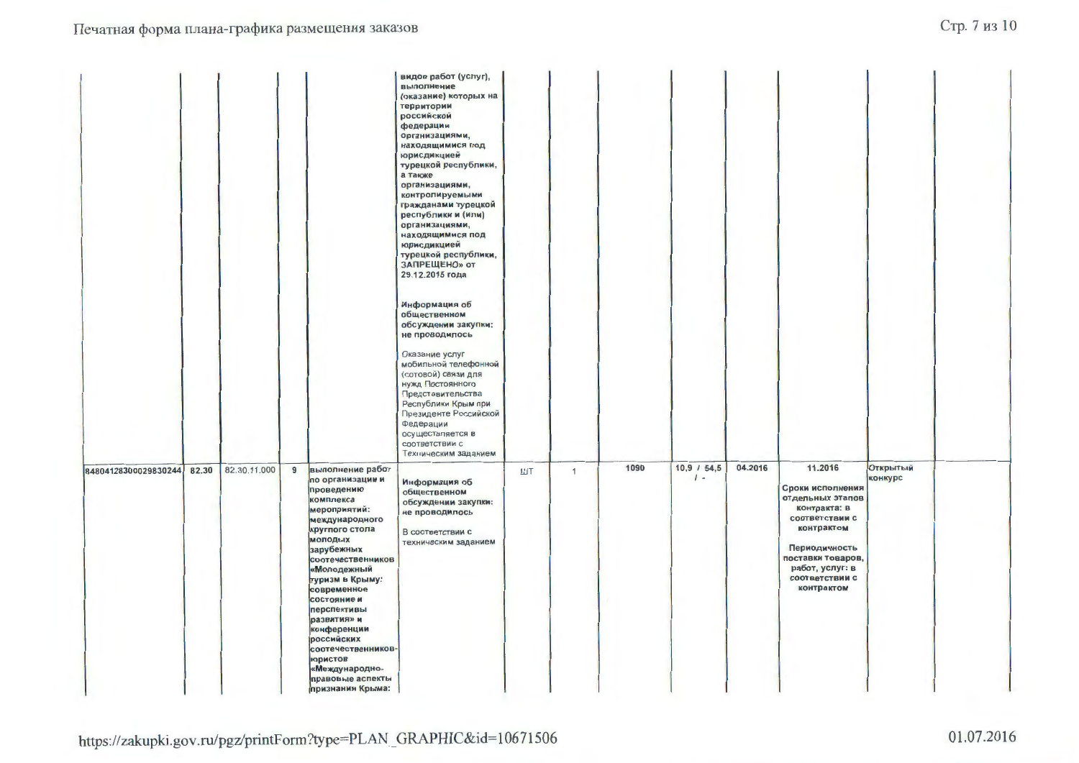|                      |       |              |                                                                                                                                                                                                                                                                                                                                                                                              | видов работ (услуг),<br>выполнение<br>(оказание) которых на<br>территории<br>российской<br>федерации<br>организациями,<br>находящимися под<br>юрисдикцией<br>турецкой республики,<br>а также<br>организациями,<br>контролируемыми<br>гражданами турецкой<br>республики и (или)<br>организациями,<br>находящимися под<br>юрисдикцией<br>турецкой республики,<br>ЗАПРЕЩЕНО» от<br>29.12.2015 года<br>Информация об<br>общественном<br>обсуждении закупки:<br>не проводилось<br>Оказание услуг<br>мобильной телефонной<br>(сотовой) связи для<br>нужд Постоянного<br>Представительства<br>Республики Крым при<br>Президенте Российской<br>Федерации |    |   |      |                        |         |                                                                                                                                                                                          |                     |  |
|----------------------|-------|--------------|----------------------------------------------------------------------------------------------------------------------------------------------------------------------------------------------------------------------------------------------------------------------------------------------------------------------------------------------------------------------------------------------|--------------------------------------------------------------------------------------------------------------------------------------------------------------------------------------------------------------------------------------------------------------------------------------------------------------------------------------------------------------------------------------------------------------------------------------------------------------------------------------------------------------------------------------------------------------------------------------------------------------------------------------------------|----|---|------|------------------------|---------|------------------------------------------------------------------------------------------------------------------------------------------------------------------------------------------|---------------------|--|
| 84804128300029830244 | 82.30 | 82.30.11.000 | 9<br>выполнение работ<br>по организации и<br>проведению<br>комплекса<br>мероприятий:<br>международного<br>круглого стола<br>молодых<br>зарубежных<br>соотечественников<br>«Молодежный<br>туризм в Крыму:<br>современное<br>состояние и<br>перспективы<br>развития» и<br>конференции<br>российских<br>соотечественников-<br>юристов<br>«Международно-<br>правовые аспекты<br>признания Крыма: | осуществляется в<br>соответствии с<br>Техническим заданием<br>Информация об<br>общественном<br>обсуждении закупки:<br>не проводилось<br>В соответствии с<br>техническим заданием                                                                                                                                                                                                                                                                                                                                                                                                                                                                 | ШТ | 1 | 1090 | $10,9$ / 54,5<br>$1 -$ | 04.2016 | 11.2016<br>Сроки исполнения<br>отдельных этапов<br>контракта: в<br>соответствии с<br>контрактом<br>Периодичность<br>поставки товаров,<br>работ, услуг: в<br>соответствии с<br>контрактом | Открытый<br>конкурс |  |

https://zakupki.gov.ru/pgz/printForm?type=PLAN\_GRAPHIC&id=10671506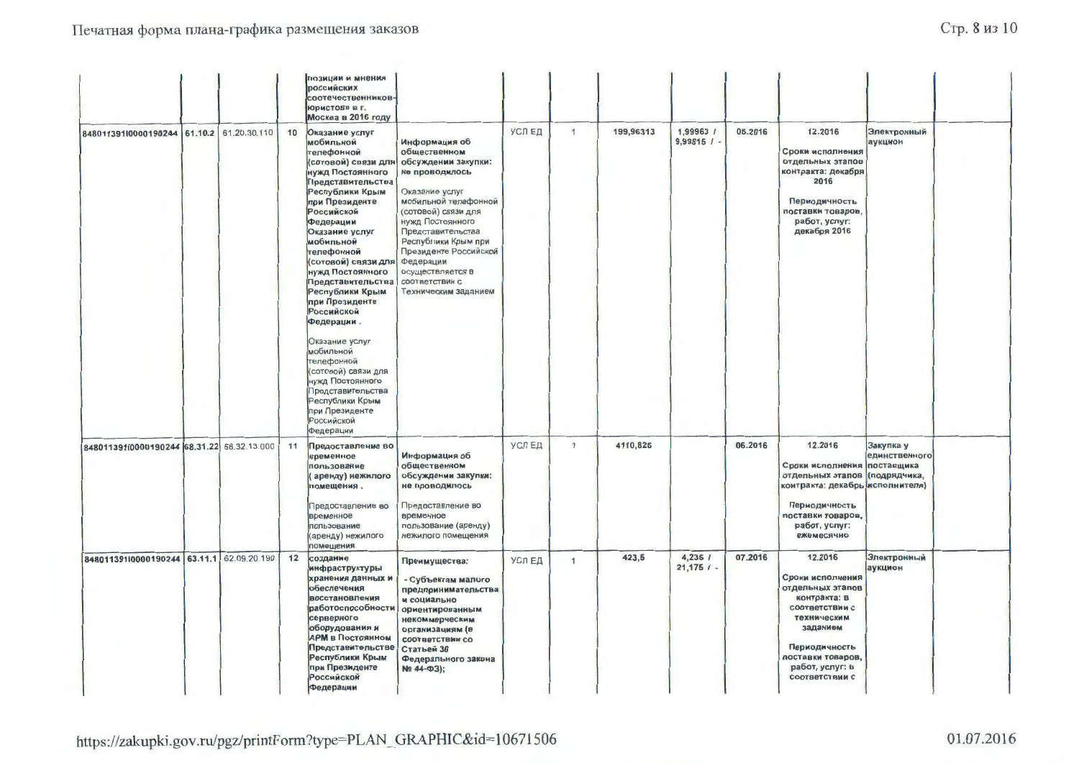# Стр. 8 из 10

|                                            |         |              |    | позиции и мнения<br>российских<br>соотечественников-<br>юристов» в г.<br>Москва в 2016 году                                                                                                                                                                                                                                                                                                                                                                                                                                          |                                                                                                                                                                                                                                                                                                             |        |                |           |                            |         |                                                                                                                                                                                         |                            |  |
|--------------------------------------------|---------|--------------|----|--------------------------------------------------------------------------------------------------------------------------------------------------------------------------------------------------------------------------------------------------------------------------------------------------------------------------------------------------------------------------------------------------------------------------------------------------------------------------------------------------------------------------------------|-------------------------------------------------------------------------------------------------------------------------------------------------------------------------------------------------------------------------------------------------------------------------------------------------------------|--------|----------------|-----------|----------------------------|---------|-----------------------------------------------------------------------------------------------------------------------------------------------------------------------------------------|----------------------------|--|
| 848011391l0000190244 61.10.2 61.20.30.110  |         |              | 10 | Оказание услуг<br>мобильной<br>телефонной<br>(сотовой) связи для<br>нужд Постоянного<br>Представительства<br>Республики Крым<br>при Президенте<br>Российской<br>Федерации<br>Оказание услуг<br>мобильной<br>телефонной<br>(сотовой) связи для<br>нужд Постоянного<br>Представительства<br>Республики Крым<br>при Президенте<br>Российской<br>Федерации.<br>Оказание услуг<br>мобильной<br>телефонной<br>(сотовой) связи для<br>нужд Постоянного<br>Представительства<br>Республики Крым<br>при Президенте<br>Российской<br>Федерации | Информация об<br>общественном<br>обсуждении закупки:<br>не проводилось<br>Оказание услуг<br>мобильной телефонной<br>(сотовой) связи для<br>нужд Постоянного<br>Представительства<br>Республики Крым при<br>Президенте Российской<br>Федерации<br>осуществляется в<br>соответствии с<br>Техническим заданием | УСЛЕД  | $\mathbf{1}$   | 199,96313 | 1,99963 /<br>$9,99815$ / - | 05.2016 | 12.2016<br>Сроки исполнения<br>отдельных этапов<br>контракта: декабря<br>2016<br>Периодичность<br>поставки товаров,<br>работ, услуг:<br>декабря 2016                                    | Электронный<br>аукцион     |  |
| 84801139110000190244 68.31.22 68.32.13.000 |         |              | 11 | Предоставление во<br>временное<br>пользование<br>аренду) нежилого<br>помещения.<br>Предоставление во<br>временное<br>пользование<br>(аренду) нежилого<br>помещения                                                                                                                                                                                                                                                                                                                                                                   | Информация об<br>общественном<br>обсуждении закупки:<br>не проводилось<br>Предоставление во<br>временное<br>пользование (аренду)<br>нежилого помещения                                                                                                                                                      | УСЛЕД  | $\overline{1}$ | 4110,825  |                            | 06.2016 | 12.2016<br>Сроки исполнения поставщика<br>отдельных этапов (подрядчика,<br>контракта: декабрь исполнителя)<br>Периодичность<br>поставки товаров,<br>работ, услуг:<br>ежемесячно         | Закупка у<br>единственного |  |
| 848011391l0000190244                       | 63.11.1 | 62.09.20.190 | 12 | создание<br>инфраструктуры<br>хранения данных и<br>обеспечения<br>восстановления<br>работоспособности<br>серверного<br>оборудования и<br><b>АРМ в Постоянном</b><br>Представительстве<br>Республики Крым<br>при Президенте<br>Российской<br>Федерации                                                                                                                                                                                                                                                                                | Преимущества:<br>- Субъектам малого<br>предпринимательства<br>и социально<br>ориентированным<br>некоммерческим<br>организациям (в<br>соответствии со<br>Статьей 30<br>Федерального закона<br>Nº 44-Φ3);                                                                                                     | УСЛ ЕД | $\mathbf{1}$   | 423,5     | 4,235/<br>$21,175$ / -     | 07.2016 | 12.2016<br>Сроки исполнения<br>отдельных этапов<br>контракта: в<br>соответствии с<br>техническим<br>заданием<br>Периодичность<br>поставки товаров,<br>работ, услуг: в<br>соответствии с | Электронный<br>аукцион     |  |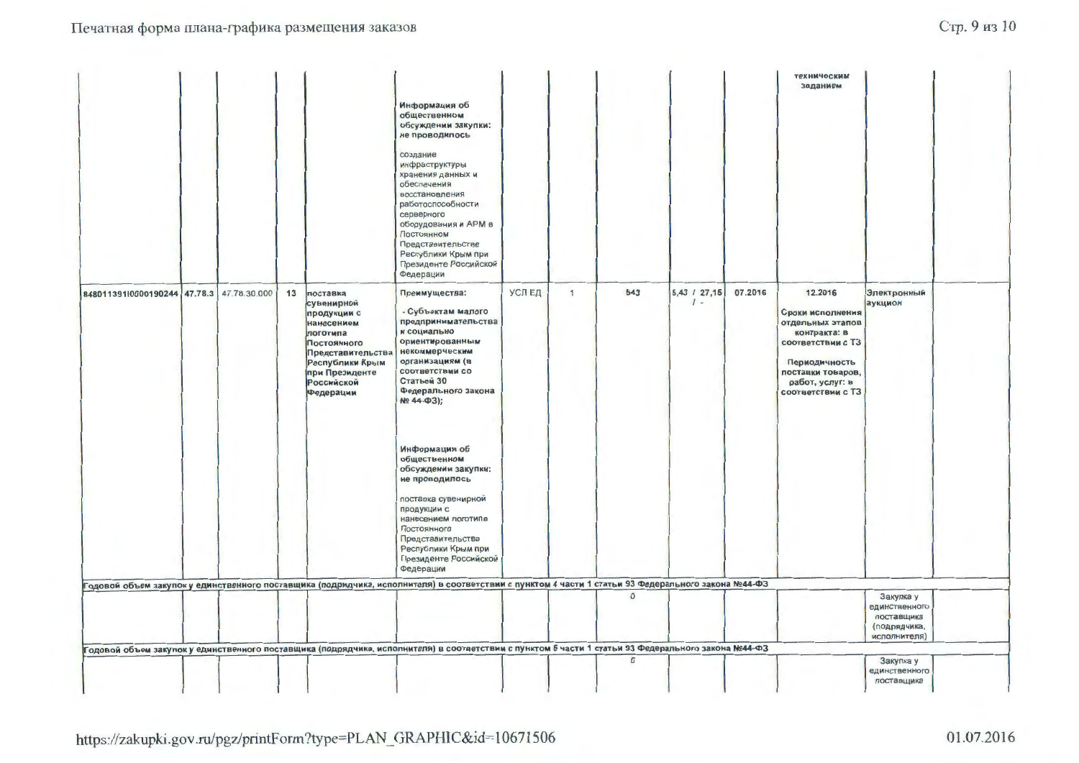|                                           |  |    |                                                                                                                                                                            |                                                                                                                                                                                                                                             |        |              |              |                              |         | техническим<br>заданием                                                                                                                                            |                                                                          |  |
|-------------------------------------------|--|----|----------------------------------------------------------------------------------------------------------------------------------------------------------------------------|---------------------------------------------------------------------------------------------------------------------------------------------------------------------------------------------------------------------------------------------|--------|--------------|--------------|------------------------------|---------|--------------------------------------------------------------------------------------------------------------------------------------------------------------------|--------------------------------------------------------------------------|--|
|                                           |  |    |                                                                                                                                                                            | Информация об<br>общественном<br>обсуждении закупки:<br>не проводилось                                                                                                                                                                      |        |              |              |                              |         |                                                                                                                                                                    |                                                                          |  |
|                                           |  |    |                                                                                                                                                                            | создание<br>инфраструктуры<br>хранения данных и<br>обеспечения<br>восстановления<br>работоспособности<br>серверного<br>оборудования и АРМ в<br>Постоянном<br>Представительстве<br>Республики Крым при<br>Президенте Российской<br>Федерации |        |              |              |                              |         |                                                                                                                                                                    |                                                                          |  |
| 848011391l0000190244 47.78.3 47.78.30.000 |  | 13 | поставка<br>сувенирной<br>продукции с<br>нанесением<br>логотипа<br>Постоянного<br>Представительства<br>Республики Крым<br>при Президенте<br><b>Российской</b><br>Федерации | Преимущества:<br>- Субъектам малого<br>предпринимательства<br>и социально<br>ориентированным<br>некоммерческим<br>организациям (в<br>соответствии со<br>Статьей 30<br>Федерального закона<br>Nº 44-03);                                     | УСЛ ЕД | $\mathbf{1}$ | 543          | $5,43$ / 27,15<br>$\prime$ - | 07.2016 | 12.2016<br>Сроки исполнения<br>отдельных этапов<br>контракта: в<br>соответствии с ТЗ<br>Периодичность<br>поставки товаров,<br>работ, услуг: в<br>соответствии с ТЗ | Электронный<br>аукцион                                                   |  |
|                                           |  |    |                                                                                                                                                                            | Информация об<br>общественном<br>обсуждении закупки:<br>не проводилось<br>поставка сувенирной<br>продукции с<br>нанесением логотипа<br>Постоянного<br>Представительства<br>Республики Крым при<br>Президенте Российской<br>Федерации        |        |              |              |                              |         |                                                                                                                                                                    |                                                                          |  |
|                                           |  |    |                                                                                                                                                                            | Годовой объем закупок у единственного поставщика (подрядчика, исполнителя) в соответствии с пунктом 4 части 1 статьи 93 Федерального закона №44-ФЗ                                                                                          |        |              |              |                              |         |                                                                                                                                                                    |                                                                          |  |
|                                           |  |    |                                                                                                                                                                            |                                                                                                                                                                                                                                             |        |              | $\mathbf{0}$ |                              |         |                                                                                                                                                                    | Закупка у<br>единственного<br>поставщика<br>(подрядчика,<br>исполнителя) |  |
|                                           |  |    |                                                                                                                                                                            | Годовой объем закупок у единственного поставщика (подрядчика, исполнителя) в соответствии с пунктом 5 части 1 статьи 93 Федерального закона №44-ФЗ                                                                                          |        |              |              |                              |         |                                                                                                                                                                    |                                                                          |  |
|                                           |  |    |                                                                                                                                                                            |                                                                                                                                                                                                                                             |        |              | $\mathbf 0$  |                              |         |                                                                                                                                                                    | Закупка у<br>единственного<br>поставщика                                 |  |